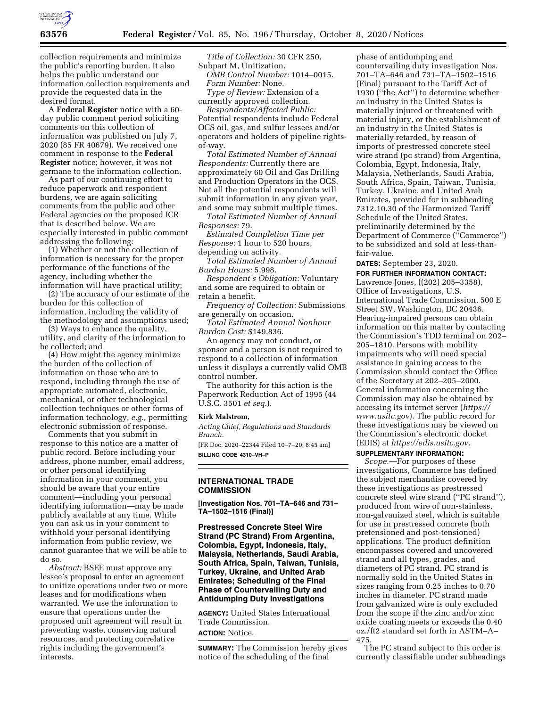

collection requirements and minimize the public's reporting burden. It also helps the public understand our information collection requirements and provide the requested data in the desired format.

A **Federal Register** notice with a 60 day public comment period soliciting comments on this collection of information was published on July 7, 2020 (85 FR 40679). We received one comment in response to the **Federal Register** notice; however, it was not germane to the information collection.

As part of our continuing effort to reduce paperwork and respondent burdens, we are again soliciting comments from the public and other Federal agencies on the proposed ICR that is described below. We are especially interested in public comment addressing the following:

(1) Whether or not the collection of information is necessary for the proper performance of the functions of the agency, including whether the information will have practical utility;

(2) The accuracy of our estimate of the burden for this collection of information, including the validity of the methodology and assumptions used;

(3) Ways to enhance the quality, utility, and clarity of the information to be collected; and

(4) How might the agency minimize the burden of the collection of information on those who are to respond, including through the use of appropriate automated, electronic, mechanical, or other technological collection techniques or other forms of information technology, *e.g.,* permitting electronic submission of response.

Comments that you submit in response to this notice are a matter of public record. Before including your address, phone number, email address, or other personal identifying information in your comment, you should be aware that your entire comment—including your personal identifying information—may be made publicly available at any time. While you can ask us in your comment to withhold your personal identifying information from public review, we cannot guarantee that we will be able to do so.

*Abstract:* BSEE must approve any lessee's proposal to enter an agreement to unitize operations under two or more leases and for modifications when warranted. We use the information to ensure that operations under the proposed unit agreement will result in preventing waste, conserving natural resources, and protecting correlative rights including the government's interests.

*Title of Collection:* 30 CFR 250, Subpart M, Unitization. *OMB Control Number:* 1014–0015. *Form Number:* None. *Type of Review:* Extension of a currently approved collection.

*Respondents/Affected Public:*  Potential respondents include Federal OCS oil, gas, and sulfur lessees and/or operators and holders of pipeline rightsof-way.

*Total Estimated Number of Annual Respondents:* Currently there are approximately 60 Oil and Gas Drilling and Production Operators in the OCS. Not all the potential respondents will submit information in any given year, and some may submit multiple times.

*Total Estimated Number of Annual Responses:* 79.

*Estimated Completion Time per Response:* 1 hour to 520 hours, depending on activity.

*Total Estimated Number of Annual Burden Hours:* 5,998.

*Respondent's Obligation:* Voluntary and some are required to obtain or retain a benefit.

*Frequency of Collection:* Submissions are generally on occasion.

*Total Estimated Annual Nonhour Burden Cost:* \$149,836.

An agency may not conduct, or sponsor and a person is not required to respond to a collection of information unless it displays a currently valid OMB control number.

The authority for this action is the Paperwork Reduction Act of 1995 (44 U.S.C. 3501 *et seq.*).

#### **Kirk Malstrom,**

*Acting Chief, Regulations and Standards Branch.* 

[FR Doc. 2020–22344 Filed 10–7–20; 8:45 am] **BILLING CODE 4310–VH–P** 

#### **INTERNATIONAL TRADE COMMISSION**

**[Investigation Nos. 701–TA–646 and 731– TA–1502–1516 (Final)]** 

**Prestressed Concrete Steel Wire Strand (PC Strand) From Argentina, Colombia, Egypt, Indonesia, Italy, Malaysia, Netherlands, Saudi Arabia, South Africa, Spain, Taiwan, Tunisia, Turkey, Ukraine, and United Arab Emirates; Scheduling of the Final Phase of Countervailing Duty and Antidumping Duty Investigations** 

**AGENCY:** United States International Trade Commission. **ACTION:** Notice.

**SUMMARY:** The Commission hereby gives notice of the scheduling of the final

phase of antidumping and countervailing duty investigation Nos. 701–TA–646 and 731–TA–1502–1516 (Final) pursuant to the Tariff Act of 1930 (''the Act'') to determine whether an industry in the United States is materially injured or threatened with material injury, or the establishment of an industry in the United States is materially retarded, by reason of imports of prestressed concrete steel wire strand (pc strand) from Argentina, Colombia, Egypt, Indonesia, Italy, Malaysia, Netherlands, Saudi Arabia, South Africa, Spain, Taiwan, Tunisia, Turkey, Ukraine, and United Arab Emirates, provided for in subheading 7312.10.30 of the Harmonized Tariff Schedule of the United States, preliminarily determined by the Department of Commerce (''Commerce'') to be subsidized and sold at less-thanfair-value.

**DATES:** September 23, 2020.

**FOR FURTHER INFORMATION CONTACT:**  Lawrence Jones, ((202) 205–3358), Office of Investigations, U.S. International Trade Commission, 500 E Street SW, Washington, DC 20436. Hearing-impaired persons can obtain information on this matter by contacting the Commission's TDD terminal on 202– 205–1810. Persons with mobility impairments who will need special assistance in gaining access to the Commission should contact the Office of the Secretary at 202–205–2000. General information concerning the Commission may also be obtained by accessing its internet server (*[https://](https://www.usitc.gov) [www.usitc.gov](https://www.usitc.gov)*). The public record for these investigations may be viewed on the Commission's electronic docket (EDIS) at *[https://edis.usitc.gov.](https://edis.usitc.gov)* 

### **SUPPLEMENTARY INFORMATION:**

*Scope.*—For purposes of these investigations, Commerce has defined the subject merchandise covered by these investigations as prestressed concrete steel wire strand (''PC strand''), produced from wire of non-stainless, non-galvanized steel, which is suitable for use in prestressed concrete (both pretensioned and post-tensioned) applications. The product definition encompasses covered and uncovered strand and all types, grades, and diameters of PC strand. PC strand is normally sold in the United States in sizes ranging from 0.25 inches to 0.70 inches in diameter. PC strand made from galvanized wire is only excluded from the scope if the zinc and/or zinc oxide coating meets or exceeds the 0.40 oz./ft2 standard set forth in ASTM–A– 475.

The PC strand subject to this order is currently classifiable under subheadings